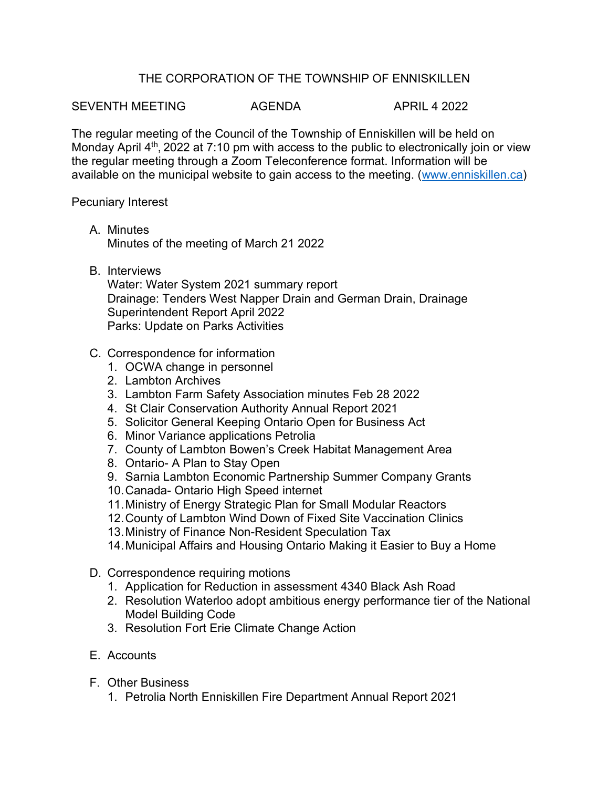## THE CORPORATION OF THE TOWNSHIP OF ENNISKILLEN

SEVENTH MEETING  $\overline{A}$  Agenda  $\overline{A}$  april 4 2022

The regular meeting of the Council of the Township of Enniskillen will be held on Monday April  $4<sup>th</sup>$ , 2022 at 7:10 pm with access to the public to electronically join or view the regular meeting through a Zoom Teleconference format. Information will be available on the municipal website to gain access to the meeting. [\(www.enniskillen.ca\)](http://www.enniskillen.ca/)

Pecuniary Interest

- A. Minutes Minutes of the meeting of March 21 2022
- B. Interviews

Water: Water System 2021 summary report Drainage: Tenders West Napper Drain and German Drain, Drainage Superintendent Report April 2022 Parks: Update on Parks Activities

## C. Correspondence for information

- 1. OCWA change in personnel
- 2. Lambton Archives
- 3. Lambton Farm Safety Association minutes Feb 28 2022
- 4. St Clair Conservation Authority Annual Report 2021
- 5. Solicitor General Keeping Ontario Open for Business Act
- 6. Minor Variance applications Petrolia
- 7. County of Lambton Bowen's Creek Habitat Management Area
- 8. Ontario- A Plan to Stay Open
- 9. Sarnia Lambton Economic Partnership Summer Company Grants
- 10.Canada- Ontario High Speed internet
- 11.Ministry of Energy Strategic Plan for Small Modular Reactors
- 12.County of Lambton Wind Down of Fixed Site Vaccination Clinics
- 13.Ministry of Finance Non-Resident Speculation Tax
- 14.Municipal Affairs and Housing Ontario Making it Easier to Buy a Home
- D. Correspondence requiring motions
	- 1. Application for Reduction in assessment 4340 Black Ash Road
	- 2. Resolution Waterloo adopt ambitious energy performance tier of the National Model Building Code
	- 3. Resolution Fort Erie Climate Change Action
- E. Accounts
- F. Other Business
	- 1. Petrolia North Enniskillen Fire Department Annual Report 2021